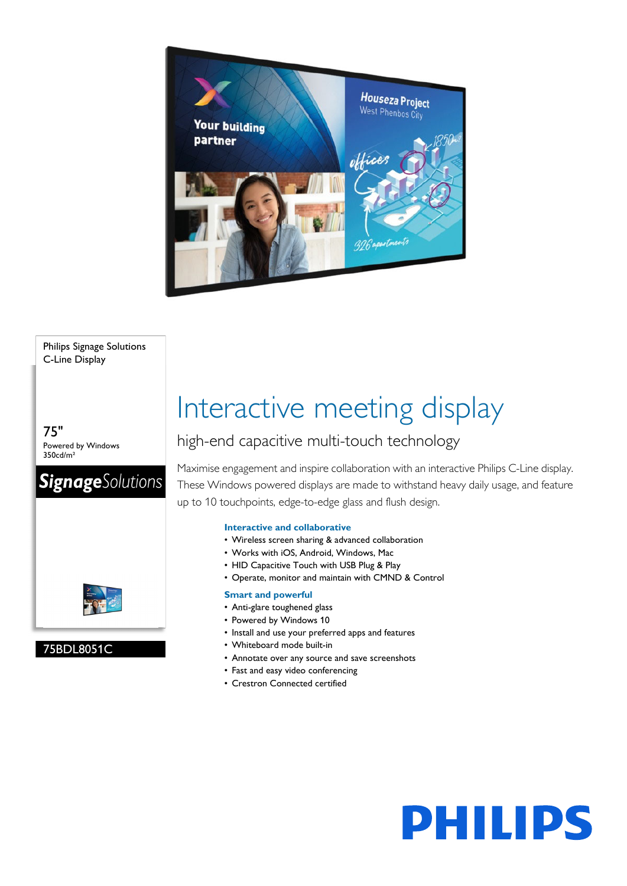

#### Philips Signage Solutions C-Line Display

75" Powered by Windows 350cd/m²



#### 75BDL8051C

# Interactive meeting display

### high-end capacitive multi-touch technology

Maximise engagement and inspire collaboration with an interactive Philips C-Line display. These Windows powered displays are made to withstand heavy daily usage, and feature up to 10 touchpoints, edge-to-edge glass and flush design.

**PHILIPS** 

#### **Interactive and collaborative**

- Wireless screen sharing & advanced collaboration
- Works with iOS, Android, Windows, Mac
- HID Capacitive Touch with USB Plug & Play
- Operate, monitor and maintain with CMND & Control

#### **Smart and powerful**

- Anti-glare toughened glass
- Powered by Windows 10
- Install and use your preferred apps and features
- Whiteboard mode built-in
- Annotate over any source and save screenshots
- Fast and easy video conferencing
- Crestron Connected certified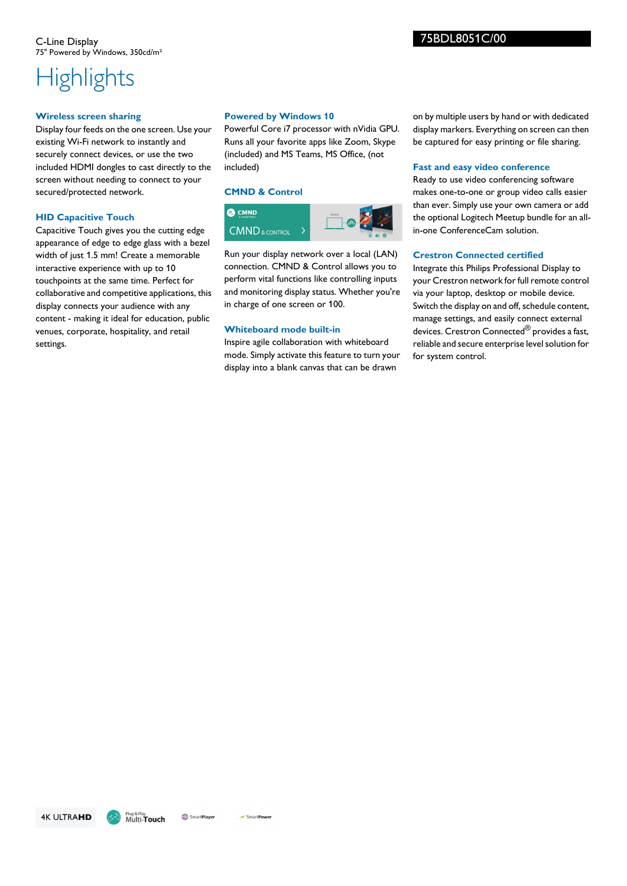#### **Wireless screen sharing**

Display four feeds on the one screen. Use your existing Wi-Fi network to instantly and securely connect devices, or use the two included HDMI dongles to cast directly to the screen without needing to connect to your secured/protected network.

#### **HID Capacitive Touch**

Capacitive Touch gives you the cutting edge appearance of edge to edge glass with a bezel width of just 1.5 mm! Create a memorable interactive experience with up to 10 touchpoints at the same time. Perfect for collaborative and competitive applications, this display connects your audience with any content - making it ideal for education, public venues, corporate, hospitality, and retail settings.

#### **Powered by Windows 10**

Powerful Core i7 processor with nVidia GPU. Runs all your favorite apps like Zoom, Skype (included) and MS Teams, MS Office, (not included)

#### **CMND & Control**



Run your display network over a local (LAN) connection. CMND & Control allows you to perform vital functions like controlling inputs and monitoring display status. Whether you're in charge of one screen or 100.

#### **Whiteboard mode built-in**

Inspire agile collaboration with whiteboard mode. Simply activate this feature to turn your display into a blank canvas that can be drawn

on by multiple users by hand or with dedicated display markers. Everything on screen can then be captured for easy printing or file sharing.

#### **Fast and easy video conference**

Ready to use video conferencing software makes one-to-one or group video calls easier than ever. Simply use your own camera or add the optional Logitech Meetup bundle for an allin-one ConferenceCam solution.

#### **Crestron Connected certified**

Integrate this Philips Professional Display to your Crestron network for full remote control via your laptop, desktop or mobile device. Switch the display on and off, schedule content, manage settings, and easily connect external devices. Crestron Connected<sup>®</sup> provides a fast, reliable and secure enterprise level solution for for system control.

**4K ULTRAHD** 

75BDL8051C/00